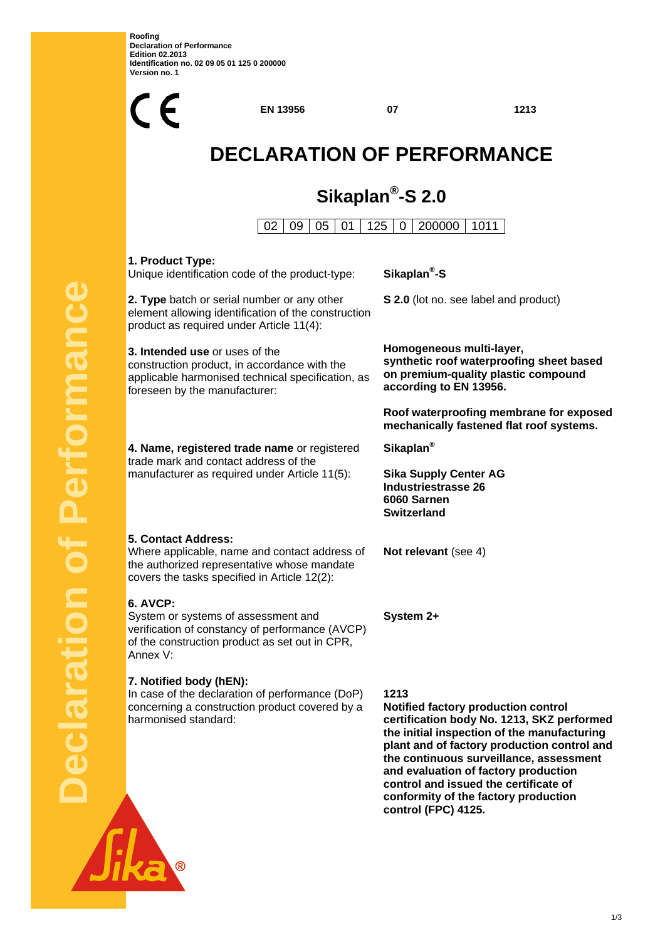**Roofing Declaration of Performance Edition 02.2013 Identification no. 02 09 05 01 125 0 200000 Version no. 1** 

**Declaration of Performance**

claration

Performanc



**control (FPC) 4125.** 

<u>1/3</u>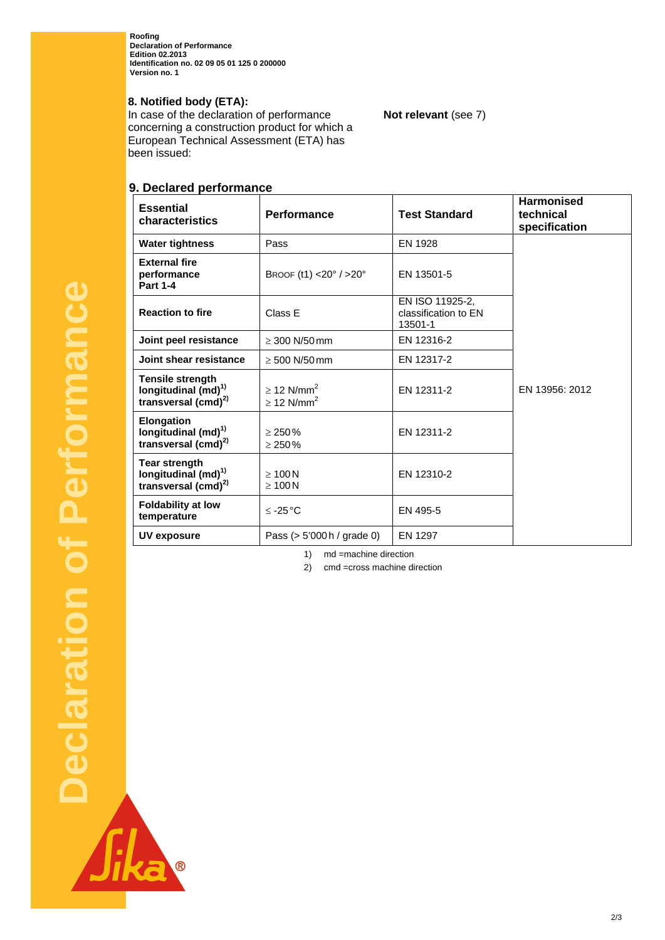**Roofing Declaration of Performance Edition 02.2013 Identification no. 02 09 05 01 125 0 200000 Version no. 1** 

## **8. Notified body (ETA):**

In case of the declaration of performance concerning a construction product for which a European Technical Assessment (ETA) has been issued:

# **9. Declared performance**

| <b>Essential</b><br>characteristics                                                    | <b>Performance</b>                                         | <b>Test Standard</b>                               | <b>Harmonised</b><br>technical<br>specification |
|----------------------------------------------------------------------------------------|------------------------------------------------------------|----------------------------------------------------|-------------------------------------------------|
| <b>Water tightness</b>                                                                 | Pass                                                       | EN 1928                                            |                                                 |
| <b>External fire</b><br>performance<br><b>Part 1-4</b>                                 | BROOF $(t1)$ <20° / >20°                                   | EN 13501-5                                         |                                                 |
| <b>Reaction to fire</b>                                                                | Class E                                                    | EN ISO 11925-2.<br>classification to EN<br>13501-1 |                                                 |
| Joint peel resistance                                                                  | $\geq$ 300 N/50 mm                                         | EN 12316-2                                         |                                                 |
| Joint shear resistance                                                                 | $\geq 500$ N/50 mm                                         | EN 12317-2                                         |                                                 |
| <b>Tensile strength</b><br>longitudinal (md) <sup>1)</sup><br>transversal $(cmd)^{2)}$ | $\geq$ 12 N/mm <sup>2</sup><br>$\geq$ 12 N/mm <sup>2</sup> | EN 12311-2                                         | EN 13956: 2012                                  |
| Elongation<br>longitudinal (md) <sup>1)</sup><br>transversal $(cmd)^{2)}$              | > 250%<br>$\geq 250\%$                                     | EN 12311-2                                         |                                                 |
| <b>Tear strength</b><br>longitudinal $(md)^{1}$<br>transversal $(cmd)^{2)}$            | $\geq 100$ N<br>$\geq 100$ N                               | EN 12310-2                                         |                                                 |
| <b>Foldability at low</b><br>temperature                                               | $≤ -25 °C$                                                 | EN 495-5                                           |                                                 |
| UV exposure                                                                            | Pass $(> 5'000 h /$ grade 0)                               | <b>EN 1297</b>                                     |                                                 |

1) md =machine direction

2) cmd =cross machine direction

2/3

## **Not relevant** (see 7)